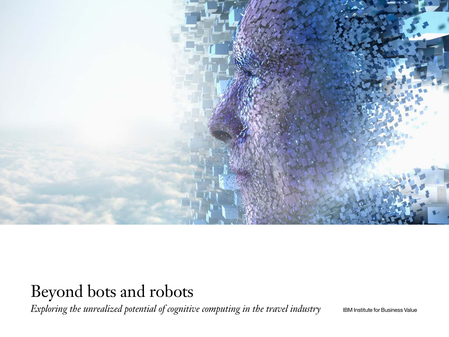

# Beyond bots and robots

*Exploring the unrealized potential of cognitive computing in the travel industry* BM Institute for Business Value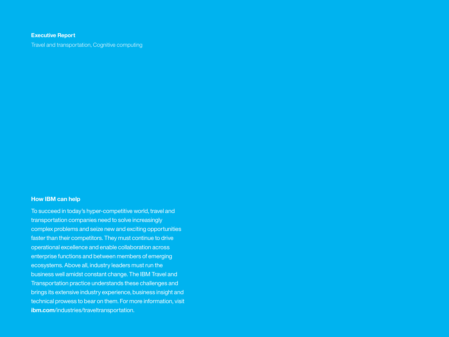# **Executive Report**

Travel and transportation, Cognitive computing

# **How IBM can help**

To succeed in today's hyper-competitive world, travel and transportation companies need to solve increasingly complex problems and seize new and exciting opportunities faster than their competitors. They must continue to drive operational excellence and enable collaboration across enterprise functions and between members of emerging ecosystems. Above all, industry leaders must run the business well amidst constant change. The IBM Travel and Transportation practice understands these challenges and brings its extensive industry experience, business insight and technical prowess to bear on them. For more information, visit **ibm.com**[/industries/traveltransportation](http://www.ibm.com/industries/traveltransportation).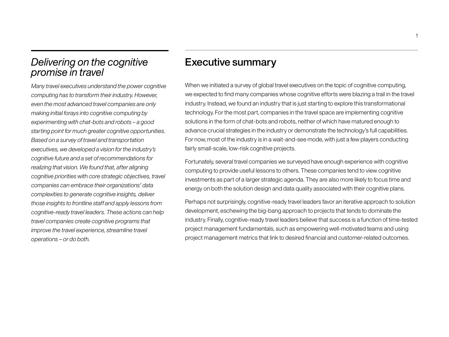# *Delivering on the cognitive promise in travel*

*Many travel executives understand the power cognitive computing has to transform their industry. However, even the most advanced travel companies are only making initial forays into cognitive computing by experimenting with chat-bots and robots – a good starting point for much greater cognitive opportunities. Based on a survey of travel and transportation executives, we developed a vision for the industry's cognitive future and a set of recommendations for realizing that vision. We found that, after aligning cognitive priorities with core strategic objectives, travel companies can embrace their organizations' data complexities to generate cognitive insights, deliver those insights to frontline staff and apply lessons from cognitive-ready travel leaders. These actions can help travel companies create cognitive programs that improve the travel experience, streamline travel operations – or do both.*

# Executive summary

When we initiated a survey of global travel executives on the topic of cognitive computing, we expected to find many companies whose cognitive efforts were blazing a trail in the travel industry. Instead, we found an industry that is just starting to explore this transformational technology. For the most part, companies in the travel space are implementing cognitive solutions in the form of chat-bots and robots, neither of which have matured enough to advance crucial strategies in the industry or demonstrate the technology's full capabilities. For now, most of the industry is in a wait-and-see mode, with just a few players conducting fairly small-scale, low-risk cognitive projects.

Fortunately, several travel companies we surveyed have enough experience with cognitive computing to provide useful lessons to others. These companies tend to view cognitive investments as part of a larger strategic agenda. They are also more likely to focus time and energy on both the solution design and data quality associated with their cognitive plans.

Perhaps not surprisingly, cognitive-ready travel leaders favor an iterative approach to solution development, eschewing the big-bang approach to projects that tends to dominate the industry. Finally, cognitive-ready travel leaders believe that success is a function of time-tested project management fundamentals, such as empowering well-motivated teams and using project management metrics that link to desired financial and customer-related outcomes.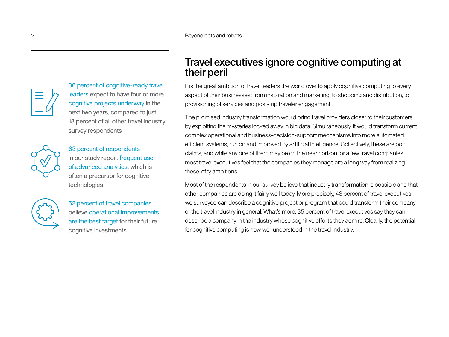2 Beyond bots and robots



36 percent of cognitive-ready travel leaders expect to have four or more cognitive projects underway in the next two years, compared to just 18 percent of all other travel industry survey respondents



63 percent of respondents in our study report frequent use of advanced analytics, which is often a precursor for cognitive technologies



52 percent of travel companies believe operational improvements are the best target for their future cognitive investments

# Travel executives ignore cognitive computing at their peril

It is the great ambition of travel leaders the world over to apply cognitive computing to every aspect of their businesses: from inspiration and marketing, to shopping and distribution, to provisioning of services and post-trip traveler engagement.

The promised industry transformation would bring travel providers closer to their customers by exploiting the mysteries locked away in big data. Simultaneously, it would transform current complex operational and business-decision-support mechanisms into more automated, efficient systems, run on and improved by artificial intelligence. Collectively, these are bold claims, and while any one of them may be on the near horizon for a few travel companies, most travel executives feel that the companies they manage are a long way from realizing these lofty ambitions.

Most of the respondents in our survey believe that industry transformation is possible and that other companies are doing it fairly well today. More precisely, 43 percent of travel executives we surveyed can describe a cognitive project or program that could transform their company or the travel industry in general. What's more, 35 percent of travel executives say they can describe a company in the industry whose cognitive efforts they admire. Clearly, the potential for cognitive computing is now well understood in the travel industry.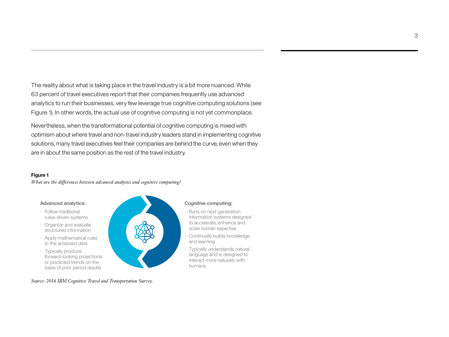The reality about what is taking place in the travel industry is a bit more nuanced. While 63 percent of travel executives report that their companies frequently use advanced analytics to run their businesses, very few leverage true cognitive computing solutions (see Figure 1). In other words, the actual use of cognitive computing is not yet commonplace.

Nevertheless, when the transformational potential of cognitive computing is mixed with optimism about where travel and non-travel industry leaders stand in implementing cognitive solutions, many travel executives feel their companies are behind the curve, even when they are in about the same position as the rest of the travel industry.

## **Figure 1**

*What are the differences between advanced analytics and cognitive computing?*

### **Advanced analytics:**

- · Follow traditional rules-driven systems
- · Organize and evaluate structured information
- · Apply mathematical rules to the amassed data
- · Typically produce forward-looking projections or predicted trends on the basis of prior period results

#### **Cognitive computing:**

· Runs on next-generation information systems designed to accelerate, enhance and scale human expertise

3

- · Continually builds knowledge and learning
- · Typically understands natural language and is designed to interact more naturally with humans

*Source: 2016 IBM Cognitive Travel and Transportation Survey.*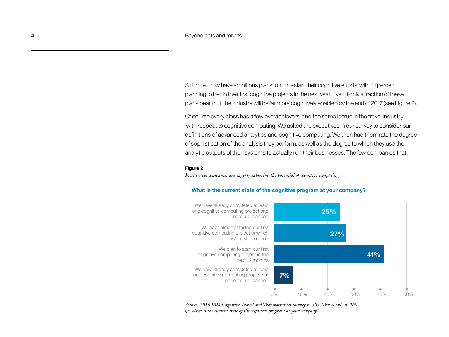Still, most now have ambitious plans to jump-start their cognitive efforts, with 41 percent planning to begin their first cognitive projects in the next year. Even if only a fraction of these plans bear fruit, the industry will be far more cognitively enabled by the end of 2017 (see Figure 2).

Of course every class has a few overachievers, and the same is true in the travel industry with respect to cognitive computing. We asked the executives in our survey to consider our definitions of advanced analytics and cognitive computing. We then had them rate the degree of sophistication of the analysis they perform, as well as the degree to which they use the analytic outputs of their systems to actually run their businesses. The few companies that

## **Figure 2**

*Most travel companies are eagerly exploring the potential of cognitive computing*



### **What is the current state of the cognitive program at your company?**

*Source: 2016 IBM Cognitive Travel and Transportation Survey n=303, Travel only n=200 Q: What is the current state of the cognitive program at your company?*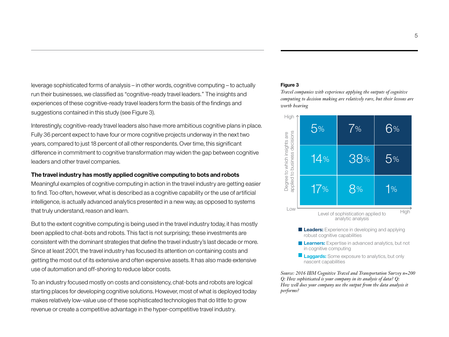leverage sophisticated forms of analysis – in other words, cognitive computing – to actually run their businesses, we classified as "cognitive-ready travel leaders." The insights and experiences of these cognitive-ready travel leaders form the basis of the findings and suggestions contained in this study (see Figure 3).

Interestingly, cognitive-ready travel leaders also have more ambitious cognitive plans in place. Fully 36 percent expect to have four or more cognitive projects underway in the next two years, compared to just 18 percent of all other respondents. Over time, this significant difference in commitment to cognitive transformation may widen the gap between cognitive leaders and other travel companies.

# **The travel industry has mostly applied cognitive computing to bots and robots**

Meaningful examples of cognitive computing in action in the travel industry are getting easier to find. Too often, however, what is described as a cognitive capability or the use of artificial intelligence, is actually advanced analytics presented in a new way, as opposed to systems that truly understand, reason and learn.

But to the extent cognitive computing is being used in the travel industry today, it has mostly been applied to chat-bots and robots. This fact is not surprising; these investments are consistent with the dominant strategies that define the travel industry's last decade or more. Since at least 2001, the travel industry has focused its attention on containing costs and getting the most out of its extensive and often expensive assets. It has also made extensive use of automation and off-shoring to reduce labor costs.

To an industry focused mostly on costs and consistency, chat-bots and robots are logical starting places for developing cognitive solutions. However, most of what is deployed today makes relatively low-value use of these sophisticated technologies that do little to grow revenue or create a competitive advantage in the hyper-competitive travel industry.

# **Figure 3**

*Travel companies with experience applying the outputs of cognitive computing to decision making are relatively rare, but their lessons are worth hearing*



- **Leaders:** Experience in developing and applying robust cognitive capabilities
- **Learners:** Expertise in advanced analytics, but not in cognitive computing
- **Laggards:** Some exposure to analytics, but only nascent capabilities

*Source: 2016 IBM Cognitive Travel and Transportation Survey n=200 Q: How sophisticated is your company in its analysis of data? Q: How well does your company use the output from the data analysis it performs?*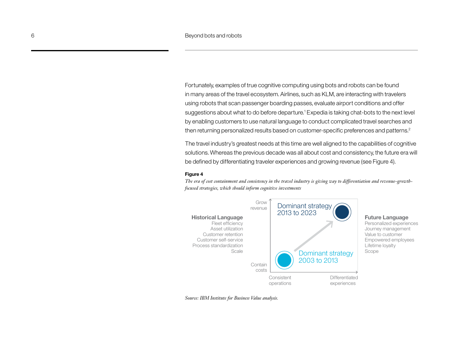Fortunately, examples of true cognitive computing using bots and robots can be found in many areas of the travel ecosystem. Airlines, such as KLM, are interacting with travelers using robots that scan passenger boarding passes, evaluate airport conditions and offer suggestions about what to do before departure.<sup>1</sup> Expedia is taking chat-bots to the next level by enabling customers to use natural language to conduct complicated travel searches and then returning personalized results based on customer-specific preferences and patterns.2

The travel industry's greatest needs at this time are well aligned to the capabilities of cognitive solutions. Whereas the previous decade was all about cost and consistency, the future era will be defined by differentiating traveler experiences and growing revenue (see Figure 4).

## **Figure 4**

*The era of cost containment and consistency in the travel industry is giving way to differentiation and revenue-growthfocused strategies, which should inform cognitive investments*



*Source: IBM Institute for Business Value analysis.*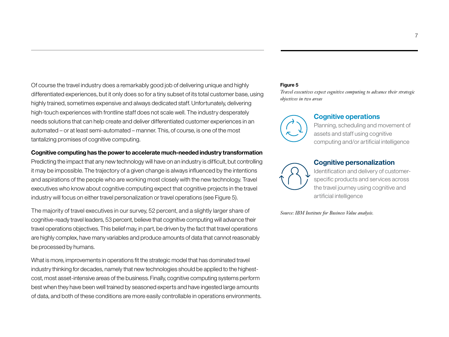Of course the travel industry does a remarkably good job of delivering unique and highly differentiated experiences, but it only does so for a tiny subset of its total customer base, using highly trained, sometimes expensive and always dedicated staff. Unfortunately, delivering high-touch experiences with frontline staff does not scale well. The industry desperately needs solutions that can help create and deliver differentiated customer experiences in an automated – or at least semi-automated – manner. This, of course, is one of the most tantalizing promises of cognitive computing.

# **Cognitive computing has the power to accelerate much-needed industry transformation**

Predicting the impact that any new technology will have on an industry is difficult, but controlling it may be impossible. The trajectory of a given change is always influenced by the intentions and aspirations of the people who are working most closely with the new technology. Travel executives who know about cognitive computing expect that cognitive projects in the travel industry will focus on either travel personalization or travel operations (see Figure 5).

The majority of travel executives in our survey, 52 percent, and a slightly larger share of cognitive-ready travel leaders, 53 percent, believe that cognitive computing will advance their travel operations objectives. This belief may, in part, be driven by the fact that travel operations are highly complex, have many variables and produce amounts of data that cannot reasonably be processed by humans.

What is more, improvements in operations fit the strategic model that has dominated travel industry thinking for decades, namely that new technologies should be applied to the highestcost, most asset-intensive areas of the business. Finally, cognitive computing systems perform best when they have been well trained by seasoned experts and have ingested large amounts of data, and both of these conditions are more easily controllable in operations environments.

# **Figure 5**

*Travel executives expect cognitive computing to advance their strategic objectives in two areas*



# **Cognitive operations**

Planning, scheduling and movement of assets and staff using cognitive computing and/or artificial intelligence



# **Cognitive personalization**

Identification and delivery of customerspecific products and services across the travel journey using cognitive and artificial intelligence

*Source: IBM Institute for Business Value analysis.*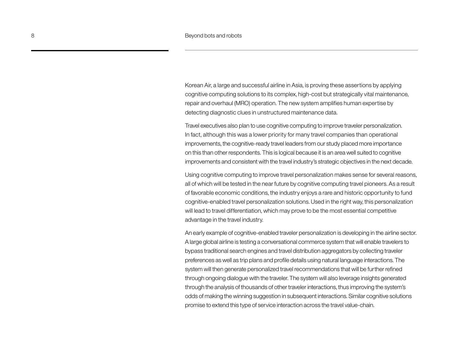Korean Air, a large and successful airline in Asia, is proving these assertions by applying cognitive computing solutions to its complex, high-cost but strategically vital maintenance, repair and overhaul (MRO) operation. The new system amplifies human expertise by detecting diagnostic clues in unstructured maintenance data.

Travel executives also plan to use cognitive computing to improve traveler personalization. In fact, although this was a lower priority for many travel companies than operational improvements, the cognitive-ready travel leaders from our study placed more importance on this than other respondents. This is logical because it is an area well suited to cognitive improvements and consistent with the travel industry's strategic objectives in the next decade.

Using cognitive computing to improve travel personalization makes sense for several reasons, all of which will be tested in the near future by cognitive computing travel pioneers. As a result of favorable economic conditions, the industry enjoys a rare and historic opportunity to fund cognitive-enabled travel personalization solutions. Used in the right way, this personalization will lead to travel differentiation, which may prove to be the most essential competitive advantage in the travel industry.

An early example of cognitive-enabled traveler personalization is developing in the airline sector. A large global airline is testing a conversational commerce system that will enable travelers to bypass traditional search engines and travel distribution aggregators by collecting traveler preferences as well as trip plans and profile details using natural language interactions. The system will then generate personalized travel recommendations that will be further refined through ongoing dialogue with the traveler. The system will also leverage insights generated through the analysis of thousands of other traveler interactions, thus improving the system's odds of making the winning suggestion in subsequent interactions. Similar cognitive solutions promise to extend this type of service interaction across the travel value-chain.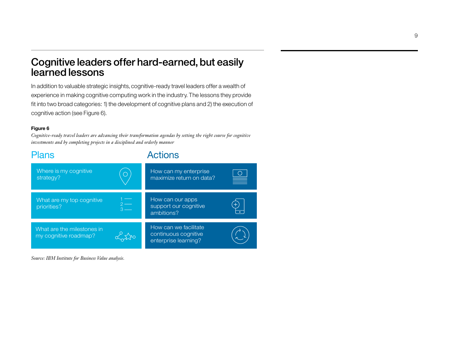# Cognitive leaders offer hard-earned, but easily learned lessons

In addition to valuable strategic insights, cognitive-ready travel leaders offer a wealth of experience in making cognitive computing work in the industry. The lessons they provide fit into two broad categories: 1) the development of cognitive plans and 2) the execution of cognitive action (see Figure 6).

# **Figure 6**

*Cognitive-ready travel leaders are advancing their transformation agendas by setting the right course for cognitive investments and by completing projects in a disciplined and orderly manner*



*Source: IBM Institute for Business Value analysis.*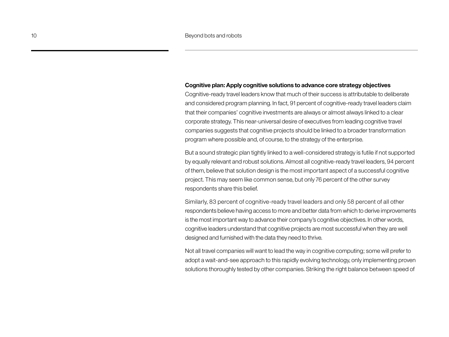# **Cognitive plan: Apply cognitive solutions to advance core strategy objectives**

Cognitive-ready travel leaders know that much of their success is attributable to deliberate and considered program planning. In fact, 91 percent of cognitive-ready travel leaders claim that their companies' cognitive investments are always or almost always linked to a clear corporate strategy. This near-universal desire of executives from leading cognitive travel companies suggests that cognitive projects should be linked to a broader transformation program where possible and, of course, to the strategy of the enterprise.

But a sound strategic plan tightly linked to a well-considered strategy is futile if not supported by equally relevant and robust solutions. Almost all cognitive-ready travel leaders, 94 percent of them, believe that solution design is the most important aspect of a successful cognitive project. This may seem like common sense, but only 76 percent of the other survey respondents share this belief.

Similarly, 83 percent of cognitive-ready travel leaders and only 58 percent of all other respondents believe having access to more and better data from which to derive improvements is the most important way to advance their company's cognitive objectives. In other words, cognitive leaders understand that cognitive projects are most successful when they are well designed and furnished with the data they need to thrive.

Not all travel companies will want to lead the way in cognitive computing; some will prefer to adopt a wait-and-see approach to this rapidly evolving technology, only implementing proven solutions thoroughly tested by other companies. Striking the right balance between speed of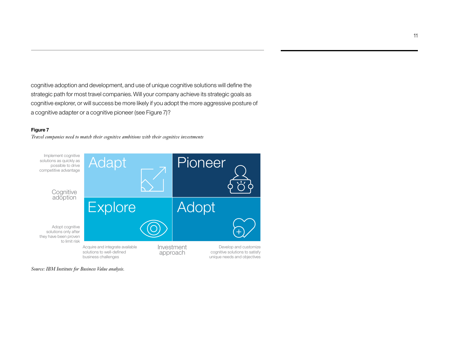cognitive adoption and development, and use of unique cognitive solutions will define the strategic path for most travel companies. Will your company achieve its strategic goals as cognitive explorer, or will success be more likely if you adopt the more aggressive posture of a cognitive adapter or a cognitive pioneer (see Figure 7)?

# **Figure 7**

*Travel companies need to match their cognitive ambitions with their cognitive investments*



*Source: IBM Institute for Business Value analysis.*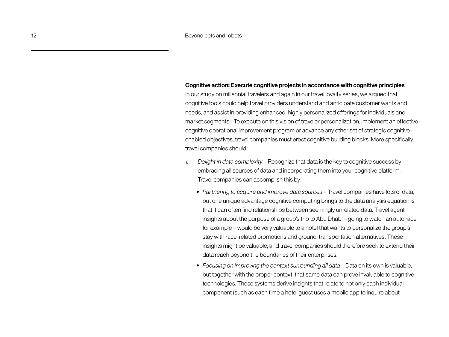### **Cognitive action: Execute cognitive projects in accordance with cognitive principles**

In our study on millennial travelers and again in our travel loyalty series, we argued that cognitive tools could help travel providers understand and anticipate customer wants and needs, and assist in providing enhanced, highly personalized offerings for individuals and market segments.3 To execute on this vision of traveler personalization, implement an effective cognitive operational improvement program or advance any other set of strategic cognitiveenabled objectives, travel companies must erect cognitive building blocks. More specifically, travel companies should:

- *1. Delight in data complexity* Recognize that data is the key to cognitive success by embracing all sources of data and incorporating them into your cognitive platform. Travel companies can accomplish this by:
	- *• Partnering to acquire and improve data sources –* Travel companies have lots of data, but one unique advantage cognitive computing brings to the data analysis equation is that it can often find relationships between seemingly unrelated data. Travel agent insights about the purpose of a group's trip to Abu Dhabi – going to watch an auto race, for example – would be very valuable to a hotel that wants to personalize the group's stay with race-related promotions and ground-transportation alternatives. These insights might be valuable, and travel companies should therefore seek to extend their data reach beyond the boundaries of their enterprises.
	- Focusing on improving the context surrounding all data Data on its own is valuable, but together with the proper context, that same data can prove invaluable to cognitive technologies. These systems derive insights that relate to not only each individual component (such as each time a hotel guest uses a mobile app to inquire about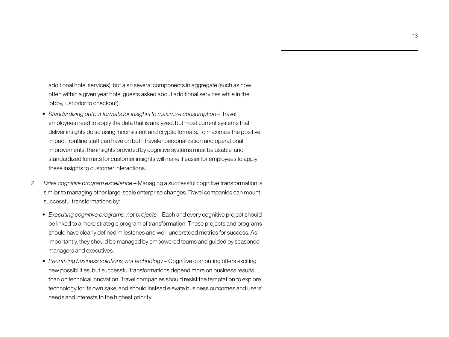additional hotel services), but also several components in aggregate (such as how often within a given year hotel guests asked about additional services while in the lobby, just prior to checkout).

- *• Standardizing output formats for insights to maximize consumption –* Travel employees need to apply the data that is analyzed, but most current systems that deliver insights do so using inconsistent and cryptic formats. To maximize the positive impact frontline staff can have on both traveler personalization and operational improvements, the insights provided by cognitive systems must be usable, and standardized formats for customer insights will make it easier for employees to apply these insights to customer interactions.
- 2. *Drive cognitive program excellence* Managing a successful cognitive transformation is similar to managing other large-scale enterprise changes. Travel companies can mount successful transformations by:
	- *• Executing cognitive programs, not projects* Each and every cognitive project should be linked to a more strategic program of transformation. These projects and programs should have clearly defined milestones and well-understood metrics for success. As importantly, they should be managed by empowered teams and guided by seasoned managers and executives.
	- *• Prioritizing business solutions, not technology* Cognitive computing offers exciting new possibilities, but successful transformations depend more on business results than on technical innovation. Travel companies should resist the temptation to explore technology for its own sake, and should instead elevate business outcomes and users' needs and interests to the highest priority.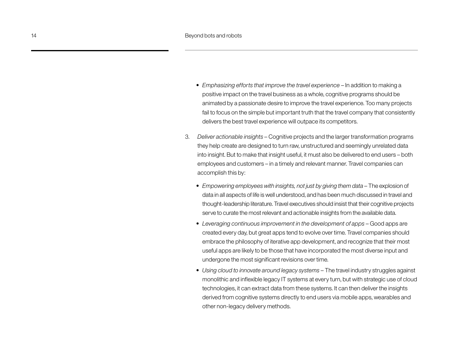- *Emphasizing efforts that improve the travel experience In addition to making a* positive impact on the travel business as a whole, cognitive programs should be animated by a passionate desire to improve the travel experience. Too many projects fail to focus on the simple but important truth that the travel company that consistently delivers the best travel experience will outpace its competitors.
- 3. *Deliver actionable insights –* Cognitive projects and the larger transformation programs they help create are designed to turn raw, unstructured and seemingly unrelated data into insight. But to make that insight useful, it must also be delivered to end users – both employees and customers – in a timely and relevant manner. Travel companies can accomplish this by:
	- *Empowering employees with insights, not just by giving them data* The explosion of data in all aspects of life is well understood, and has been much discussed in travel and thought-leadership literature. Travel executives should insist that their cognitive projects serve to curate the most relevant and actionable insights from the available data.
	- Leveraging continuous improvement in the development of apps Good apps are created every day, but great apps tend to evolve over time. Travel companies should embrace the philosophy of iterative app development, and recognize that their most useful apps are likely to be those that have incorporated the most diverse input and undergone the most significant revisions over time.
	- *• Using cloud to innovate around legacy systems* The travel industry struggles against monolithic and inflexible legacy IT systems at every turn, but with strategic use of cloud technologies, it can extract data from these systems. It can then deliver the insights derived from cognitive systems directly to end users via mobile apps, wearables and other non-legacy delivery methods.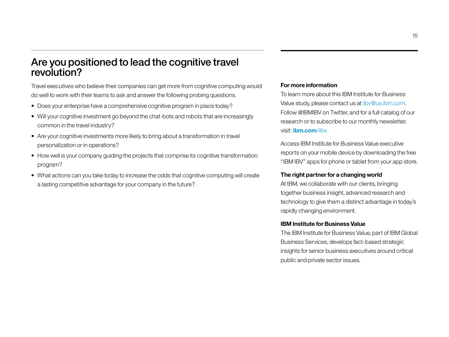# Are you positioned to lead the cognitive travel revolution?

Travel executives who believe their companies can get more from cognitive computing would do well to work with their teams to ask and answer the following probing questions.

- Does your enterprise have a comprehensive cognitive program in place today?
- Will your cognitive investment go beyond the chat-bots and robots that are increasingly common in the travel industry?
- Are your cognitive investments more likely to bring about a transformation in travel personalization or in operations?
- How well is your company guiding the projects that comprise its cognitive transformation program?
- What actions can you take today to increase the odds that cognitive computing will create a lasting competitive advantage for your company in the future?

# **For more information**

To learn more about this IBM Institute for Business Value study, please contact us at [iibv@us.ibm.com.](mailto:iibv@us.ibm.com) Follow @IBMIBV on Twitter, and for a full catalog of our research or to subscribe to our monthly newsletter, visit: **[ibm.com](ibm.com/iibv)**/iibv.

Access IBM Institute for Business Value executive reports on your mobile device by downloading the free "IBM IBV" apps for phone or tablet from your app store.

# **The right partner for a changing world**

At IBM, we collaborate with our clients, bringing together business insight, advanced research and technology to give them a distinct advantage in today's rapidly changing environment.

# **IBM Institute for Business Value**

The IBM Institute for Business Value, part of IBM Global Business Services, develops fact-based strategic insights for senior business executives around critical public and private sector issues.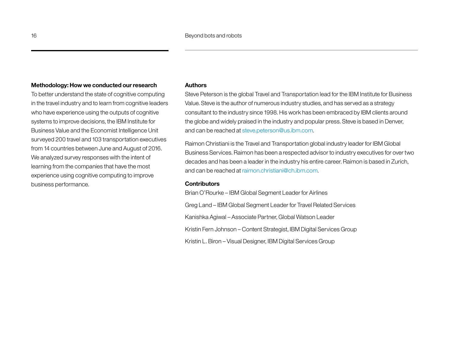# **Methodology: How we conducted our research**

To better understand the state of cognitive computing in the travel industry and to learn from cognitive leaders who have experience using the outputs of cognitive systems to improve decisions, the IBM Institute for Business Value and the Economist Intelligence Unit surveyed 200 travel and 103 transportation executives from 14 countries between June and August of 2016. We analyzed survey responses with the intent of learning from the companies that have the most experience using cognitive computing to improve business performance.

# **Authors**

Steve Peterson is the global Travel and Transportation lead for the IBM Institute for Business Value. Steve is the author of numerous industry studies, and has served as a strategy consultant to the industry since 1998. His work has been embraced by IBM clients around the globe and widely praised in the industry and popular press. Steve is based in Denver, and can be reached at [steve.peterson@us.ibm.com.](mailto:steve.peterson@us.ibm.com)

Raimon Christiani is the Travel and Transportation global industry leader for IBM Global Business Services. Raimon has been a respected advisor to industry executives for over two decades and has been a leader in the industry his entire career. Raimon is based in Zurich, and can be reached at [raimon.christiani@ch.ibm.com](mailto:raimon.christiani@ch.ibm.com).

# **Contributors**

Brian O'Rourke – IBM Global Segment Leader for Airlines Greg Land – IBM Global Segment Leader for Travel Related Services Kanishka Agiwal – Associate Partner, Global Watson Leader Kristin Fern Johnson – Content Strategist, IBM Digital Services Group Kristin L. Biron – Visual Designer, IBM Digital Services Group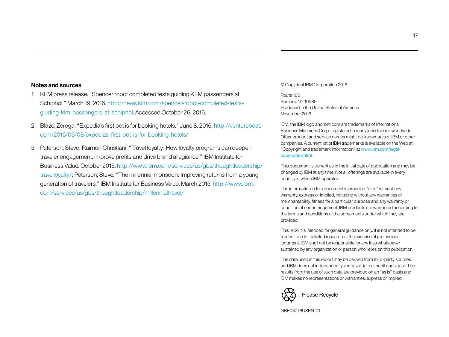# **Notes and sources**

- 1 KLM press release. "Spencer robot completed tests guiding KLM passengers at Schiphol." March 19, 2016. [http://news.klm.com/spencer-](http://news.klm.com/spencer)robot-completed-testsguiding-klm-passengers-at-schiphol. Accessed October 26, 2016.
- 2 Blaze, Zerega. "Expedia's first bot is for booking hotels." June 8, 2016. [http://venturebeat.](http://venturebeat.com/2016/06/08/expedias) [com/2016/06/08/expedias-](http://venturebeat.com/2016/06/08/expedias)first-bot-is-for-booking-hotels/
- 3 Peterson, Steve; Raimon Christiani. "Travel loyalty: How loyalty programs can deepen traveler engagement, improve profits and drive brand allegiance." IBM Institute for Business Value. October 2015. [http://www.ibm.com/services/us/gbs/thoughtleadership/](http://www.ibm.com/services/us/gbs/thoughtleadership/travelloyalty) [travelloyalty](http://www.ibm.com/services/us/gbs/thoughtleadership/travelloyalty)/; Peterson, Steve. "The millennial monsoon: Improving returns from a young generation of travelers." IBM Institute for Business Value. March 2015. [http://www.ibm.](http://www.ibm.com/services/us/gbs/thoughtleadership/millennialtravel) [com/services/us/gbs/thoughtleadership/millennialtravel/](http://www.ibm.com/services/us/gbs/thoughtleadership/millennialtravel)

#### © Copyright IBM Corporation 2016

Route 100 Somers, NY 10589 Produced in the United States of America November 2016

IBM, the IBM logo and ibm.com are trademarks of International Business Machines Corp., registered in many jurisdictions worldwide. Other product and service names might be trademarks of IBM or other companies. A current list of IBM trademarks is available on the Web at "Copyright and trademark information" at www.ibm.com/legal/ copytrade.shtml.

This document is current as of the initial date of publication and may be changed by IBM at any time. Not all offerings are available in every country in which IBM operates.

The information in this document is provided "as is" without any warranty, express or implied, including without any warranties of merchantability, fitness for a particular purpose and any warranty or condition of non-infringement. IBM products are warranted according to the terms and conditions of the agreements under which they are provided.

This report is intended for general guidance only. It is not intended to be a substitute for detailed research or the exercise of professional judgment. IBM shall not be responsible for any loss whatsoever sustained by any organization or person who relies on this publication.

The data used in this report may be derived from third-party sources and IBM does not independently verify, validate or audit such data. The results from the use of such data are provided on an "as is" basis and IBM makes no representations or warranties, express or implied.



GBE03776USEN-01